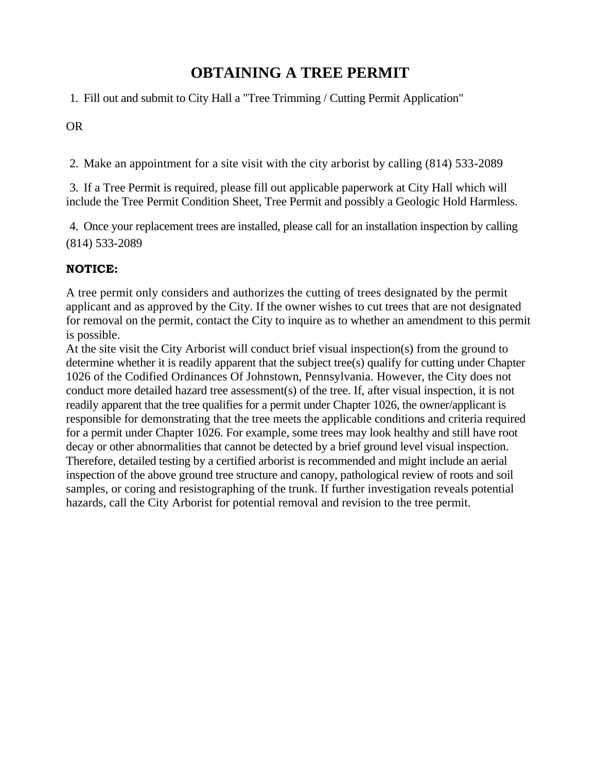# **OBTAINING A TREE PERMIT**

1. Fill out and submit to City Hall a "Tree Trimming / Cutting Permit Application"

OR

2. Make an appointment for a site visit with the city arborist by calling (814) 533-2089

3. If a Tree Permit is required, please fill out applicable paperwork at City Hall which will include the Tree Permit Condition Sheet, Tree Permit and possibly a Geologic Hold Harmless.

4. Once your replacement trees are installed, please call for an installation inspection by calling (814) 533-2089

## **NOTICE:**

A tree permit only considers and authorizes the cutting of trees designated by the permit applicant and as approved by the City. If the owner wishes to cut trees that are not designated for removal on the permit, contact the City to inquire as to whether an amendment to this permit is possible.

At the site visit the City Arborist will conduct brief visual inspection(s) from the ground to determine whether it is readily apparent that the subject tree(s) qualify for cutting under Chapter 1026 of the Codified Ordinances Of Johnstown, Pennsylvania. However, the City does not conduct more detailed hazard tree assessment(s) of the tree. If, after visual inspection, it is not readily apparent that the tree qualifies for a permit under Chapter 1026, the owner/applicant is responsible for demonstrating that the tree meets the applicable conditions and criteria required for a permit under Chapter 1026. For example, some trees may look healthy and still have root decay or other abnormalities that cannot be detected by a brief ground level visual inspection. Therefore, detailed testing by a certified arborist is recommended and might include an aerial inspection of the above ground tree structure and canopy, pathological review of roots and soil samples, or coring and resistographing of the trunk. If further investigation reveals potential hazards, call the City Arborist for potential removal and revision to the tree permit.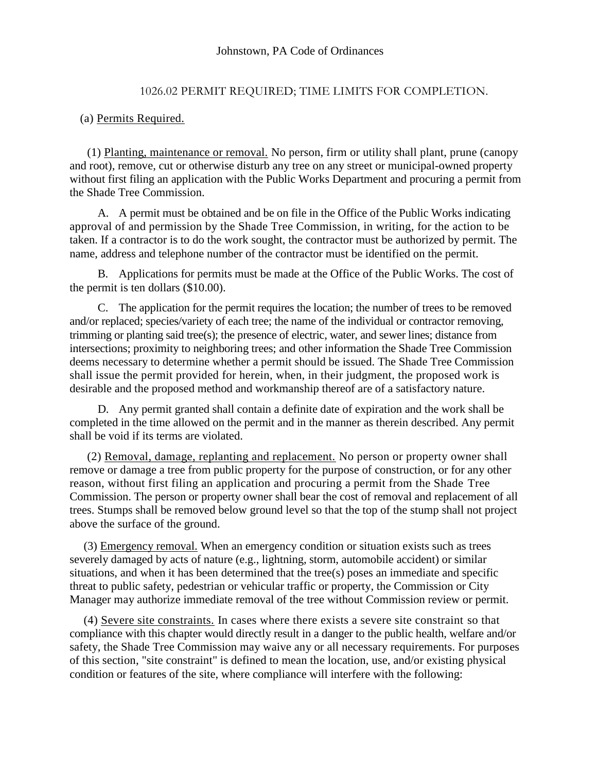#### Johnstown, PA Code of Ordinances

#### 1026.02 PERMIT REQUIRED; TIME LIMITS FOR COMPLETION.

#### (a) Permits Required.

(1) Planting, maintenance or removal. No person, firm or utility shall plant, prune (canopy and root), remove, cut or otherwise disturb any tree on any street or municipal-owned property without first filing an application with the Public Works Department and procuring a permit from the Shade Tree Commission.

A. A permit must be obtained and be on file in the Office of the Public Works indicating approval of and permission by the Shade Tree Commission, in writing, for the action to be taken. If a contractor is to do the work sought, the contractor must be authorized by permit. The name, address and telephone number of the contractor must be identified on the permit.

B. Applications for permits must be made at the Office of the Public Works. The cost of the permit is ten dollars (\$10.00).

C. The application for the permit requires the location; the number of trees to be removed and/or replaced; species/variety of each tree; the name of the individual or contractor removing, trimming or planting said tree(s); the presence of electric, water, and sewer lines; distance from intersections; proximity to neighboring trees; and other information the Shade Tree Commission deems necessary to determine whether a permit should be issued. The Shade Tree Commission shall issue the permit provided for herein, when, in their judgment, the proposed work is desirable and the proposed method and workmanship thereof are of a satisfactory nature.

D. Any permit granted shall contain a definite date of expiration and the work shall be completed in the time allowed on the permit and in the manner as therein described. Any permit shall be void if its terms are violated.

(2) Removal, damage, replanting and replacement. No person or property owner shall remove or damage a tree from public property for the purpose of construction, or for any other reason, without first filing an application and procuring a permit from the Shade Tree Commission. The person or property owner shall bear the cost of removal and replacement of all trees. Stumps shall be removed below ground level so that the top of the stump shall not project above the surface of the ground.

(3) Emergency removal. When an emergency condition or situation exists such as trees severely damaged by acts of nature (e.g., lightning, storm, automobile accident) or similar situations, and when it has been determined that the tree(s) poses an immediate and specific threat to public safety, pedestrian or vehicular traffic or property, the Commission or City Manager may authorize immediate removal of the tree without Commission review or permit.

(4) Severe site constraints. In cases where there exists a severe site constraint so that compliance with this chapter would directly result in a danger to the public health, welfare and/or safety, the Shade Tree Commission may waive any or all necessary requirements. For purposes of this section, "site constraint" is defined to mean the location, use, and/or existing physical condition or features of the site, where compliance will interfere with the following: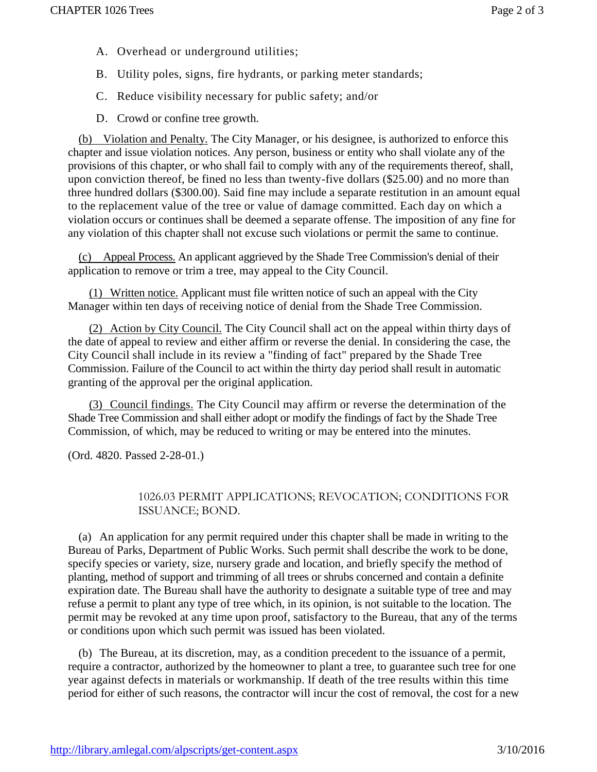- A. Overhead or underground utilities;
- B. Utility poles, signs, fire hydrants, or parking meter standards;
- C. Reduce visibility necessary for public safety; and/or
- D. Crowd or confine tree growth.

(b) Violation and Penalty. The City Manager, or his designee, is authorized to enforce this chapter and issue violation notices. Any person, business or entity who shall violate any of the provisions of this chapter, or who shall fail to comply with any of the requirements thereof, shall, upon conviction thereof, be fined no less than twenty-five dollars (\$25.00) and no more than three hundred dollars (\$300.00). Said fine may include a separate restitution in an amount equal to the replacement value of the tree or value of damage committed. Each day on which a violation occurs or continues shall be deemed a separate offense. The imposition of any fine for any violation of this chapter shall not excuse such violations or permit the same to continue.

(c) Appeal Process. An applicant aggrieved by the Shade Tree Commission's denial of their application to remove or trim a tree, may appeal to the City Council.

(1) Written notice. Applicant must file written notice of such an appeal with the City Manager within ten days of receiving notice of denial from the Shade Tree Commission.

(2) Action by City Council. The City Council shall act on the appeal within thirty days of the date of appeal to review and either affirm or reverse the denial. In considering the case, the City Council shall include in its review a "finding of fact" prepared by the Shade Tree Commission. Failure of the Council to act within the thirty day period shall result in automatic granting of the approval per the original application.

(3) Council findings. The City Council may affirm or reverse the determination of the Shade Tree Commission and shall either adopt or modify the findings of fact by the Shade Tree Commission, of which, may be reduced to writing or may be entered into the minutes.

(Ord. 4820. Passed 2-28-01.)

### 1026.03 PERMIT APPLICATIONS; REVOCATION; CONDITIONS FOR ISSUANCE; BOND.

(a) An application for any permit required under this chapter shall be made in writing to the Bureau of Parks, Department of Public Works. Such permit shall describe the work to be done, specify species or variety, size, nursery grade and location, and briefly specify the method of planting, method of support and trimming of all trees or shrubs concerned and contain a definite expiration date. The Bureau shall have the authority to designate a suitable type of tree and may refuse a permit to plant any type of tree which, in its opinion, is not suitable to the location. The permit may be revoked at any time upon proof, satisfactory to the Bureau, that any of the terms or conditions upon which such permit was issued has been violated.

(b) The Bureau, at its discretion, may, as a condition precedent to the issuance of a permit, require a contractor, authorized by the homeowner to plant a tree, to guarantee such tree for one year against defects in materials or workmanship. If death of the tree results within this time period for either of such reasons, the contractor will incur the cost of removal, the cost for a new